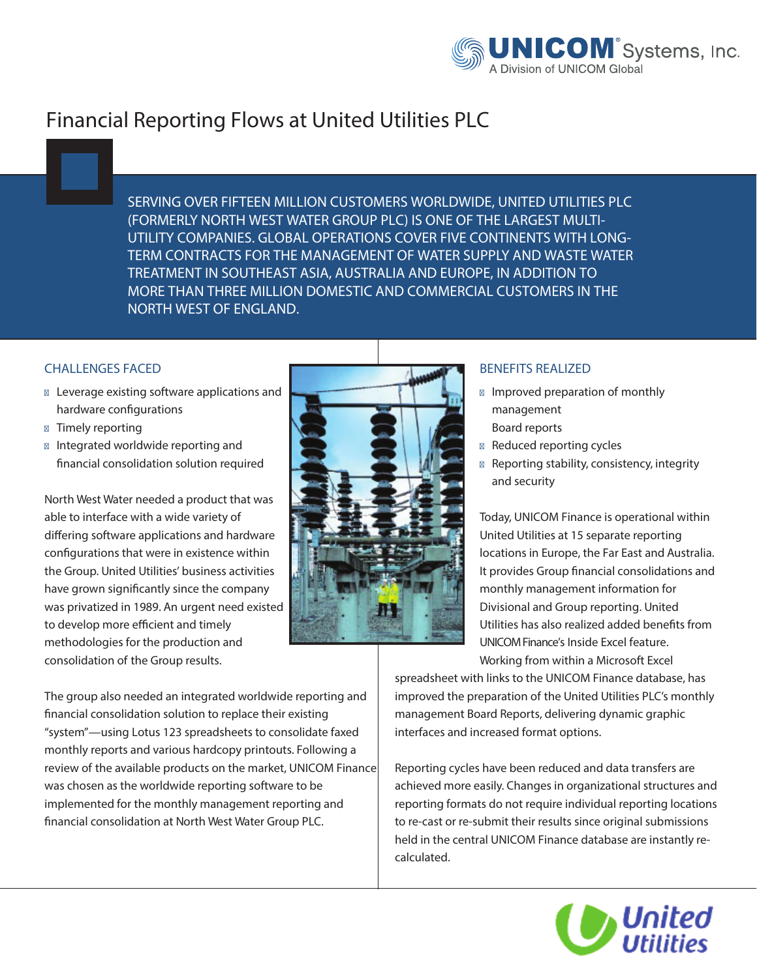

## **Financial Reporting Flows at United Utilities PLC**

**SERVING OVER FIFTEEN MILLION CUSTOMERS WORLDWIDE, UNITED UTILITIES PLC (FORMERLY NORTH WEST WATER GROUP PLC) IS ONE OF THE LARGEST MULTI-UTILITY COMPANIES. GLOBAL OPERATIONS COVER FIVE CONTINENTS WITH LONG-TERM CONTRACTS FOR THE MANAGEMENT OF WATER SUPPLY AND WASTE WATER TREATMENT IN SOUTHEAST ASIA, AUSTRALIA AND EUROPE, IN ADDITION TO MORE THAN THREE MILLION DOMESTIC AND COMMERCIAL CUSTOMERS IN THE NORTH WEST OF ENGLAND.**

## **CHALLENGES FACED**

Leverage existing software applications and hardware configurations Timely reporting Integrated worldwide reporting and nancial consolidation solution required

North West Water needed a product that was able to interface with a wide variety of differing software applications and hardware configurations that were in existence within the Group. United Utilities' business activities have grown significantly since the company was privatized in 1989. An urgent need existed to develop more efficient and timely methodologies for the production and consolidation of the Group results.

The group also needed an integrated worldwide reporting and nancial consolidation solution to replace their existing "system"—using Lotus 123 spreadsheets to consolidate faxed monthly reports and various hardcopy printouts. Following a review of the available products on the market, UNICOM Finance was chosen as the worldwide reporting software to be implemented for the monthly management reporting and nancial consolidation at North West Water Group PLC.



## **BENEFITS REALIZED**

Improved preparation of monthly management Board reports Reduced reporting cycles Reporting stability, consistency, integrity and security

Today, UNICOM Finance is operational within United Utilities at 15 separate reporting locations in Europe, the Far East and Australia. It provides Group financial consolidations and monthly management information for Divisional and Group reporting. United Utilities has also realized added benefits from UNICOM Finance's Inside Excel feature.

Working from within a Microsoft Excel

spreadsheet with links to the UNICOM Finance database, has improved the preparation of the United Utilities PLC's monthly management Board Reports, delivering dynamic graphic interfaces and increased format options.

Reporting cycles have been reduced and data transfers are achieved more easily. Changes in organizational structures and reporting formats do not require individual reporting locations to re-cast or re-submit their results since original submissions held in the central UNICOM Finance database are instantly recalculated.